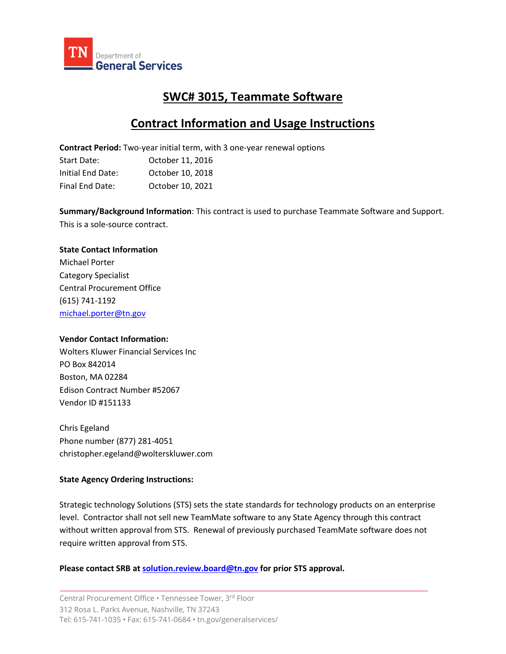

# **SWC# 3015, Teammate Software**

# **Contract Information and Usage Instructions**

**Contract Period:** Two-year initial term, with 3 one-year renewal options

| Start Date:       | October 11, 2016 |
|-------------------|------------------|
| Initial End Date: | October 10, 2018 |
| Final End Date:   | October 10, 2021 |

**Summary/Background Information**: This contract is used to purchase Teammate Software and Support. This is a sole-source contract.

## **State Contact Information**

Michael Porter Category Specialist Central Procurement Office (615) 741-1192 [michael.porter@tn.gov](mailto:Asya.Owens@TN.gov)

### **Vendor Contact Information:**

Wolters Kluwer Financial Services Inc PO Box 842014 Boston, MA 02284 Edison Contract Number #52067 Vendor ID #151133

Chris Egeland Phone number (877) 281-4051 [christopher.egeland@wolterskluwer.com](mailto:christopher.egeland@wolterskluwer.com)

## **State Agency Ordering Instructions:**

Strategic technology Solutions (STS) sets the state standards for technology products on an enterprise level. Contractor shall not sell new TeamMate software to any State Agency through this contract without written approval from STS. Renewal of previously purchased TeamMate software does not require written approval from STS.

### **Please contact SRB at [solution.review.board@tn.gov](mailto:solution.review.board@tn.gov) for prior STS approval.**